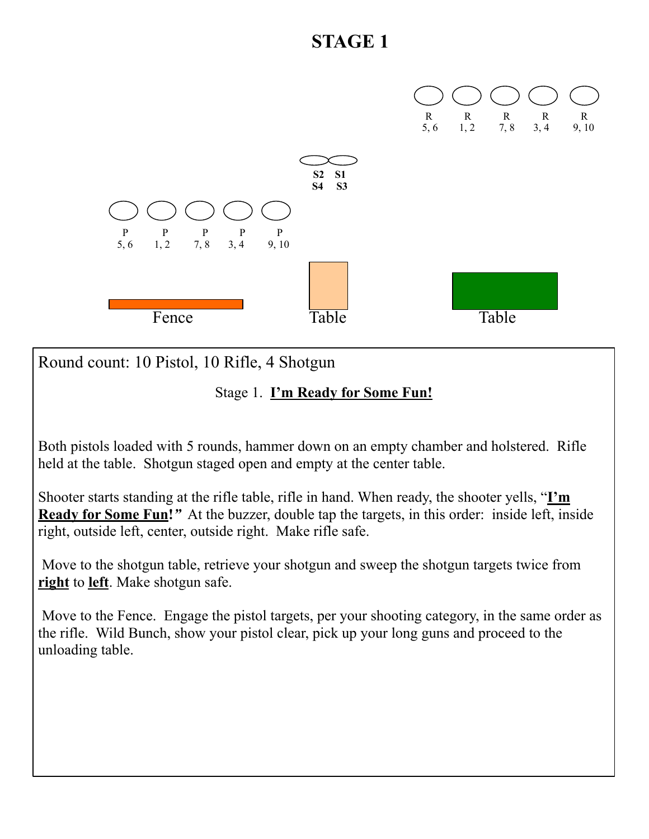

Round count: 10 Pistol, 10 Rifle, 4 Shotgun

Stage 1. **I'm Ready for Some Fun!** 

Both pistols loaded with 5 rounds, hammer down on an empty chamber and holstered. Rifle held at the table. Shotgun staged open and empty at the center table.

Shooter starts standing at the rifle table, rifle in hand. When ready, the shooter yells, "**I'm Ready for Some Fun!***"* At the buzzer, double tap the targets, in this order: inside left, inside right, outside left, center, outside right. Make rifle safe.

 Move to the shotgun table, retrieve your shotgun and sweep the shotgun targets twice from **right** to **left**. Make shotgun safe.

 Move to the Fence. Engage the pistol targets, per your shooting category, in the same order as the rifle. Wild Bunch, show your pistol clear, pick up your long guns and proceed to the unloading table.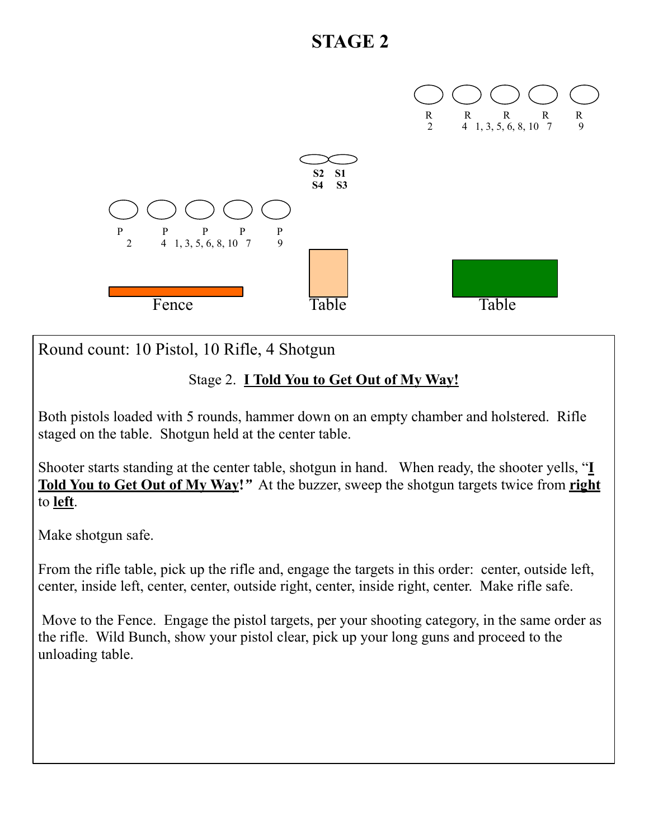

Round count: 10 Pistol, 10 Rifle, 4 Shotgun

#### Stage 2. **I Told You to Get Out of My Way!**

Both pistols loaded with 5 rounds, hammer down on an empty chamber and holstered. Rifle staged on the table. Shotgun held at the center table.

Shooter starts standing at the center table, shotgun in hand. When ready, the shooter yells, "**I Told You to Get Out of My Way!***"* At the buzzer, sweep the shotgun targets twice from **right** to **left**.

Make shotgun safe.

From the rifle table, pick up the rifle and, engage the targets in this order: center, outside left, center, inside left, center, center, outside right, center, inside right, center. Make rifle safe.

 Move to the Fence. Engage the pistol targets, per your shooting category, in the same order as the rifle. Wild Bunch, show your pistol clear, pick up your long guns and proceed to the unloading table.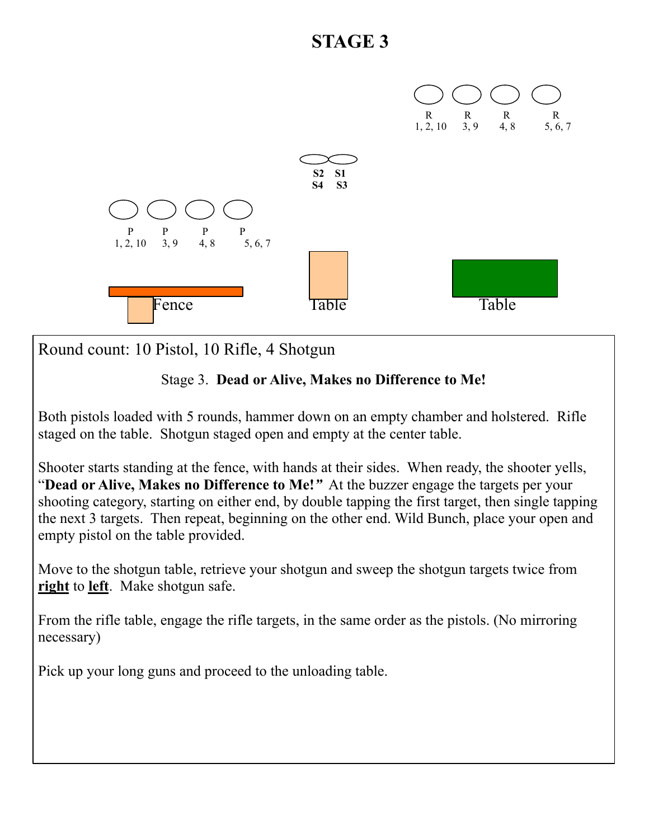

Round count: 10 Pistol, 10 Rifle, 4 Shotgun

#### Stage 3. **Dead or Alive, Makes no Difference to Me!**

Both pistols loaded with 5 rounds, hammer down on an empty chamber and holstered. Rifle staged on the table. Shotgun staged open and empty at the center table.

Shooter starts standing at the fence, with hands at their sides. When ready, the shooter yells, "**Dead or Alive, Makes no Difference to Me!***"* At the buzzer engage the targets per your shooting category, starting on either end, by double tapping the first target, then single tapping the next 3 targets. Then repeat, beginning on the other end. Wild Bunch, place your open and empty pistol on the table provided.

Move to the shotgun table, retrieve your shotgun and sweep the shotgun targets twice from **right** to **left**. Make shotgun safe.

From the rifle table, engage the rifle targets, in the same order as the pistols. (No mirroring necessary)

Pick up your long guns and proceed to the unloading table.